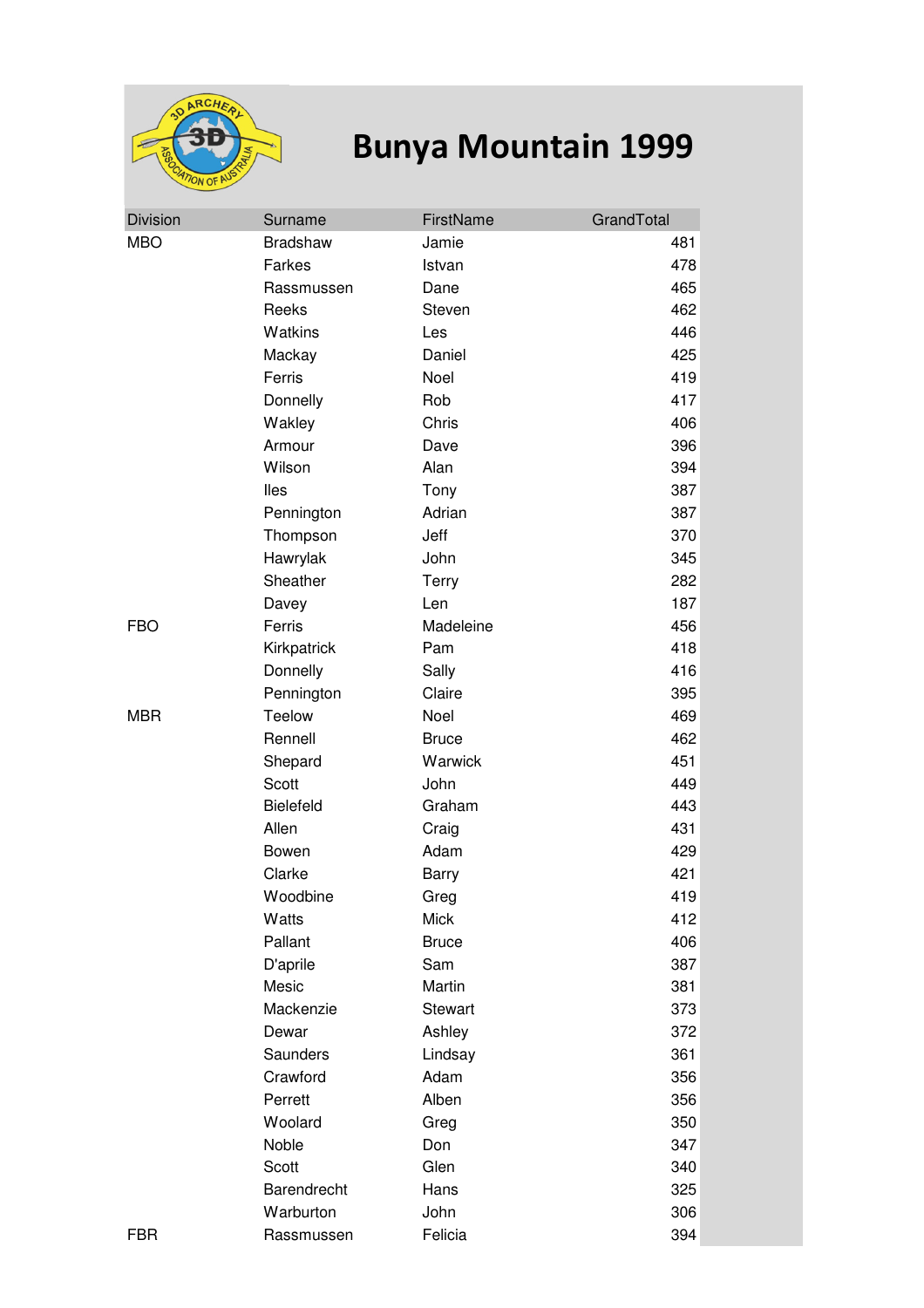

## **Bunya Mountain 1999**

| <b>Division</b> | Surname          | FirstName      | GrandTotal |
|-----------------|------------------|----------------|------------|
| <b>MBO</b>      | <b>Bradshaw</b>  | Jamie          | 481        |
|                 | Farkes           | Istvan         | 478        |
|                 | Rassmussen       | Dane           | 465        |
|                 | Reeks            | Steven         | 462        |
|                 | Watkins          | Les            | 446        |
|                 | Mackay           | Daniel         | 425        |
|                 | Ferris           | Noel           | 419        |
|                 | Donnelly         | Rob            | 417        |
|                 | Wakley           | Chris          | 406        |
|                 | Armour           | Dave           | 396        |
|                 | Wilson           | Alan           | 394        |
|                 | lles             | Tony           | 387        |
|                 | Pennington       | Adrian         | 387        |
|                 | Thompson         | Jeff           | 370        |
|                 | Hawrylak         | John           | 345        |
|                 | Sheather         | Terry          | 282        |
|                 | Davey            | Len            | 187        |
| <b>FBO</b>      | Ferris           | Madeleine      | 456        |
|                 | Kirkpatrick      | Pam            | 418        |
|                 | Donnelly         | Sally          | 416        |
|                 | Pennington       | Claire         | 395        |
| <b>MBR</b>      | Teelow           | Noel           | 469        |
|                 | Rennell          | <b>Bruce</b>   | 462        |
|                 | Shepard          | Warwick        | 451        |
|                 | Scott            | John           | 449        |
|                 | <b>Bielefeld</b> | Graham         | 443        |
|                 | Allen            | Craig          | 431        |
|                 | Bowen            | Adam           | 429        |
|                 | Clarke           | <b>Barry</b>   | 421        |
|                 | Woodbine         | Greg           | 419        |
|                 | Watts            | Mick           | 412        |
|                 | Pallant          | <b>Bruce</b>   | 406        |
|                 | D'aprile         | Sam            | 387        |
|                 | Mesic            | Martin         | 381        |
|                 | Mackenzie        | <b>Stewart</b> | 373        |
|                 | Dewar            | Ashley         | 372        |
|                 | Saunders         | Lindsay        | 361        |
|                 | Crawford         | Adam           | 356        |
|                 | Perrett          | Alben          | 356        |
|                 | Woolard          | Greg           | 350        |
|                 | Noble            | Don            | 347        |
|                 | Scott            | Glen           | 340        |
|                 | Barendrecht      | Hans           | 325        |
|                 | Warburton        | John           | 306        |
| <b>FBR</b>      | Rassmussen       | Felicia        | 394        |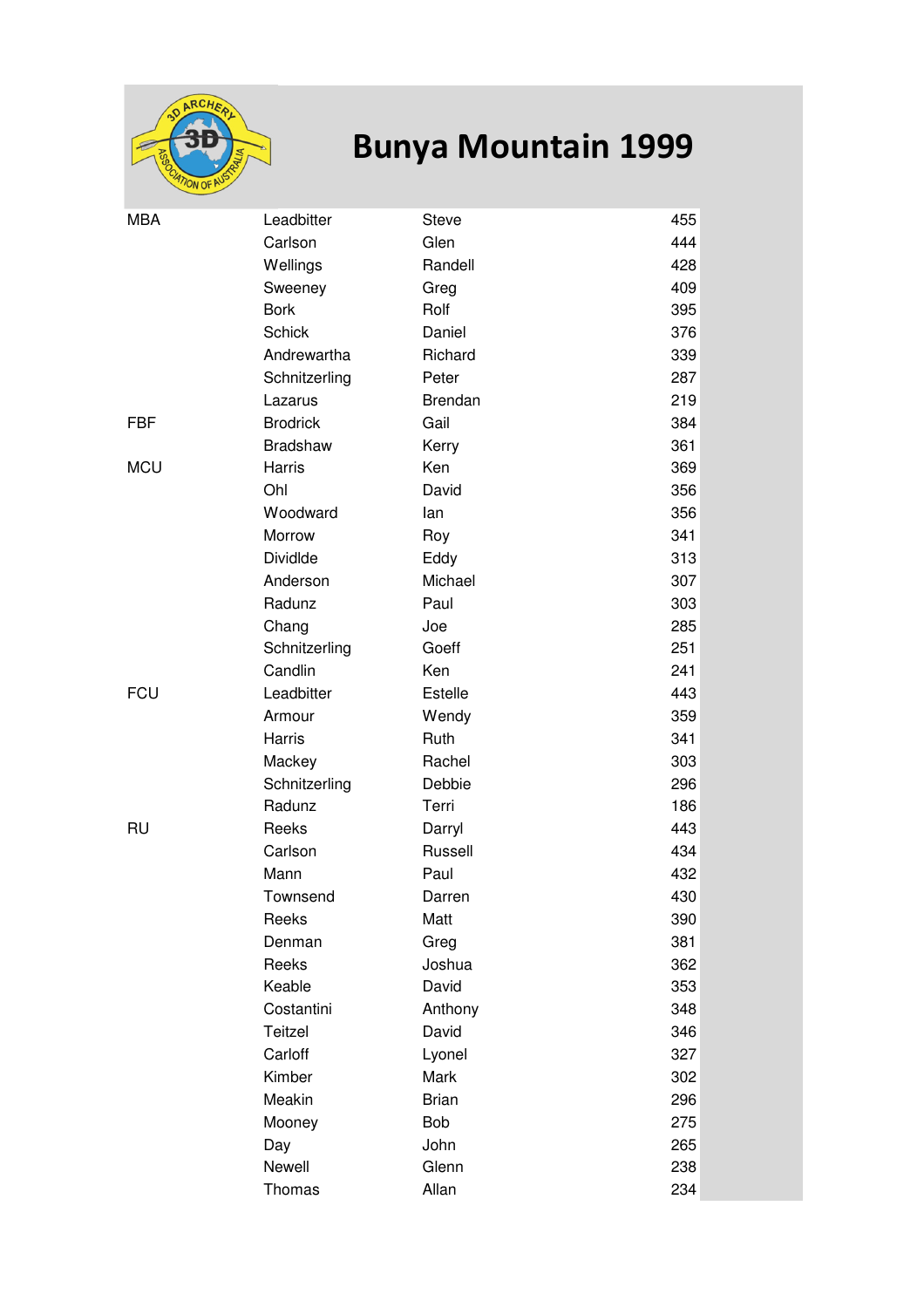

## **Bunya Mountain 1999**

| <b>MBA</b> | Leadbitter      | <b>Steve</b>   | 455 |
|------------|-----------------|----------------|-----|
|            | Carlson         | Glen           | 444 |
|            | Wellings        | Randell        | 428 |
|            |                 |                | 409 |
|            | Sweeney         | Greg<br>Rolf   |     |
|            | <b>Bork</b>     |                | 395 |
|            | <b>Schick</b>   | Daniel         | 376 |
|            | Andrewartha     | Richard        | 339 |
|            | Schnitzerling   | Peter          | 287 |
|            | Lazarus         | <b>Brendan</b> | 219 |
| FBF        | <b>Brodrick</b> | Gail           | 384 |
|            | <b>Bradshaw</b> | Kerry          | 361 |
| <b>MCU</b> | Harris          | Ken            | 369 |
|            | Ohl             | David          | 356 |
|            | Woodward        | lan            | 356 |
|            | Morrow          | Roy            | 341 |
|            | <b>DividIde</b> | Eddy           | 313 |
|            | Anderson        | Michael        | 307 |
|            | Radunz          | Paul           | 303 |
|            | Chang           | Joe            | 285 |
|            | Schnitzerling   | Goeff          | 251 |
|            | Candlin         | Ken            | 241 |
| <b>FCU</b> | Leadbitter      | Estelle        | 443 |
|            | Armour          | Wendy          | 359 |
|            | Harris          | Ruth           | 341 |
|            | Mackey          | Rachel         | 303 |
|            | Schnitzerling   | Debbie         | 296 |
|            | Radunz          | Terri          | 186 |
| RU         | Reeks           | Darryl         | 443 |
|            | Carlson         | Russell        | 434 |
|            | Mann            | Paul           | 432 |
|            | Townsend        | Darren         | 430 |
|            | Reeks           | Matt           | 390 |
|            | Denman          | Greg           | 381 |
|            | Reeks           | Joshua         | 362 |
|            | Keable          | David          | 353 |
|            | Costantini      | Anthony        | 348 |
|            | Teitzel         | David          | 346 |
|            | Carloff         | Lyonel         | 327 |
|            | Kimber          | Mark           | 302 |
|            | Meakin          | <b>Brian</b>   | 296 |
|            | Mooney          | <b>Bob</b>     | 275 |
|            | Day             | John           | 265 |
|            | Newell          | Glenn          | 238 |
|            | Thomas          | Allan          | 234 |